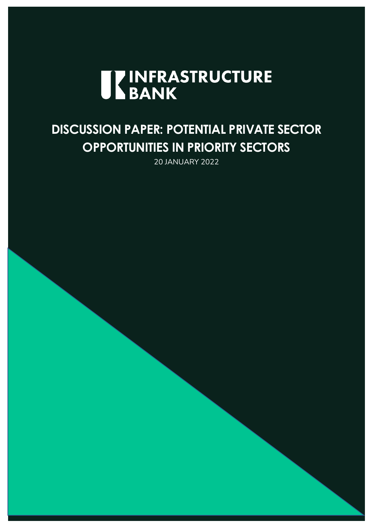

# **DISCUSSION PAPER: POTENTIAL PRIVATE SECTOR OPPORTUNITIES IN PRIORITY SECTORS**

20 JANUARY 2022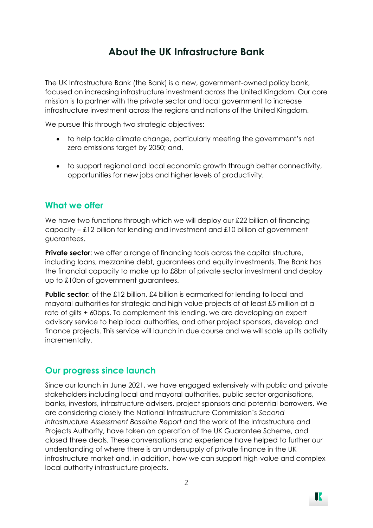## **About the UK Infrastructure Bank**

The UK Infrastructure Bank (the Bank) is a new, government-owned policy bank, focused on increasing infrastructure investment across the United Kingdom. Our core mission is to partner with the private sector and local government to increase infrastructure investment across the regions and nations of the United Kingdom.

We pursue this through two strategic objectives:

- to help tackle climate change, particularly meeting the government's net zero emissions target by 2050; and,
- to support regional and local economic growth through better connectivity, opportunities for new jobs and higher levels of productivity.

## **What we offer**

We have two functions through which we will deploy our £22 billion of financing capacity – £12 billion for lending and investment and £10 billion of government guarantees.

**Private sector:** we offer a range of financing tools across the capital structure, including loans, mezzanine debt, guarantees and equity investments. The Bank has the financial capacity to make up to £8bn of private sector investment and deploy up to £10bn of government guarantees.

**Public sector:** of the £12 billion, £4 billion is earmarked for lending to local and mayoral authorities for strategic and high value projects of at least £5 million at a rate of gilts + 60bps. To complement this lending, we are developing an expert advisory service to help local authorities, and other project sponsors, develop and finance projects. This service will launch in due course and we will scale up its activity incrementally.

## **Our progress since launch**

Since our launch in June 2021, we have engaged extensively with public and private stakeholders including local and mayoral authorities, public sector organisations, banks, investors, infrastructure advisers, project sponsors and potential borrowers. We are considering closely the National Infrastructure Commission's *Second Infrastructure Assessment Baseline Report* and the work of the Infrastructure and Projects Authority, have taken on operation of the UK Guarantee Scheme, and closed three deals. These conversations and experience have helped to further our understanding of where there is an undersupply of private finance in the UK infrastructure market and, in addition, how we can support high-value and complex local authority infrastructure projects.

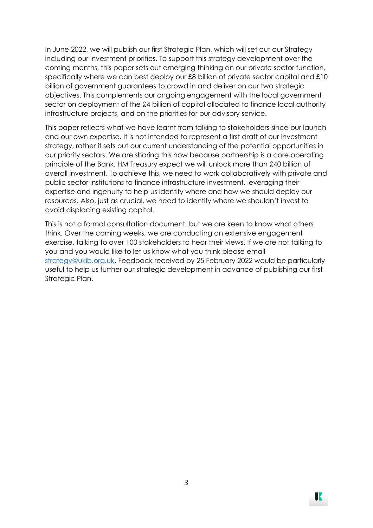In June 2022, we will publish our first Strategic Plan, which will set out our Strategy including our investment priorities. To support this strategy development over the coming months, this paper sets out emerging thinking on our private sector function, specifically where we can best deploy our £8 billion of private sector capital and £10 billion of government guarantees to crowd in and deliver on our two strategic objectives. This complements our ongoing engagement with the local government sector on deployment of the £4 billion of capital allocated to finance local authority infrastructure projects, and on the priorities for our advisory service.

This paper reflects what we have learnt from talking to stakeholders since our launch and our own expertise. It is not intended to represent a first draft of our investment strategy, rather it sets out our current understanding of the potential opportunities in our priority sectors. We are sharing this now because partnership is a core operating principle of the Bank. HM Treasury expect we will unlock more than £40 billion of overall investment. To achieve this, we need to work collaboratively with private and public sector institutions to finance infrastructure investment, leveraging their expertise and ingenuity to help us identify where and how we should deploy our resources. Also, just as crucial, we need to identify where we shouldn't invest to avoid displacing existing capital.

This is not a formal consultation document, but we are keen to know what others think. Over the coming weeks, we are conducting an extensive engagement exercise, talking to over 100 stakeholders to hear their views. If we are not talking to you and you would like to let us know what you think please email [strategy@ukib.org.uk.](mailto:strategy@ukib.org.uk) Feedback received by 25 February 2022 would be particularly useful to help us further our strategic development in advance of publishing our first Strategic Plan.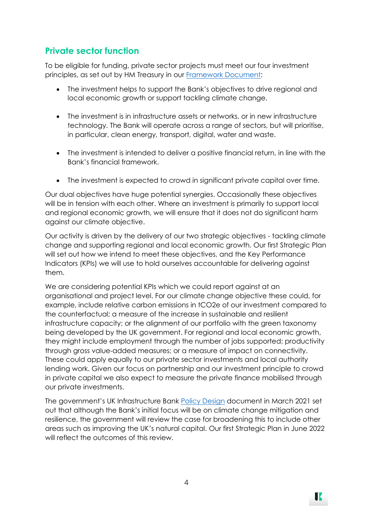## **Private sector function**

To be eligible for funding, private sector projects must meet our four investment principles, as set out by HM Treasury in our [Framework Document:](https://assets.publishing.service.gov.uk/government/uploads/system/uploads/attachment_data/file/994437/UK_Infrastructure_Bank_Framework_Document.pdf)

- The investment helps to support the Bank's objectives to drive regional and local economic growth or support tackling climate change.
- The investment is in infrastructure assets or networks, or in new infrastructure technology. The Bank will operate across a range of sectors, but will prioritise, in particular, clean energy, transport, digital, water and waste.
- The investment is intended to deliver a positive financial return, in line with the Bank's financial framework.
- The investment is expected to crowd in significant private capital over time.

Our dual objectives have huge potential synergies. Occasionally these objectives will be in tension with each other. Where an investment is primarily to support local and regional economic growth, we will ensure that it does not do significant harm against our climate objective.

Our activity is driven by the delivery of our two strategic objectives - tackling climate change and supporting regional and local economic growth. Our first Strategic Plan will set out how we intend to meet these objectives, and the Key Performance Indicators (KPIs) we will use to hold ourselves accountable for delivering against them.

We are considering potential KPIs which we could report against at an organisational and project level. For our climate change objective these could, for example, include relative carbon emissions in tCO2e of our investment compared to the counterfactual; a measure of the increase in sustainable and resilient infrastructure capacity; or the alignment of our portfolio with the green taxonomy being developed by the UK government. For regional and local economic growth, they might include employment through the number of jobs supported; productivity through gross value-added measures; or a measure of impact on connectivity. These could apply equally to our private sector investments and local authority lending work. Given our focus on partnership and our investment principle to crowd in private capital we also expect to measure the private finance mobilised through our private investments.

The government's UK Infrastructure Bank [Policy Design](https://assets.publishing.service.gov.uk/government/uploads/system/uploads/attachment_data/file/966131/UKIB_Policy_Design.pdf) document in March 2021 set out that although the Bank's initial focus will be on climate change mitigation and resilience, the government will review the case for broadening this to include other areas such as improving the UK's natural capital. Our first Strategic Plan in June 2022 will reflect the outcomes of this review.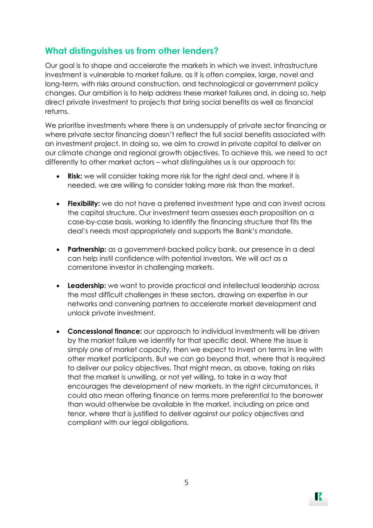## **What distinguishes us from other lenders?**

Our goal is to shape and accelerate the markets in which we invest. Infrastructure investment is vulnerable to market failure, as it is often complex, large, novel and long-term, with risks around construction, and technological or government policy changes. Our ambition is to help address these market failures and, in doing so, help direct private investment to projects that bring social benefits as well as financial returns.

We prioritise investments where there is an undersupply of private sector financing or where private sector financing doesn't reflect the full social benefits associated with an investment project. In doing so, we aim to crowd in private capital to deliver on our climate change and regional growth objectives. To achieve this, we need to act differently to other market actors – what distinguishes us is our approach to:

- **Risk:** we will consider taking more risk for the right deal and, where it is needed, we are willing to consider taking more risk than the market.
- **Flexibility:** we do not have a preferred investment type and can invest across the capital structure. Our investment team assesses each proposition on a case-by-case basis, working to identify the financing structure that fits the deal's needs most appropriately and supports the Bank's mandate.
- **Partnership:** as a government-backed policy bank, our presence in a deal can help instil confidence with potential investors. We will act as a cornerstone investor in challenging markets.
- **Leadership:** we want to provide practical and intellectual leadership across the most difficult challenges in these sectors, drawing on expertise in our networks and convening partners to accelerate market development and unlock private investment.
- **Concessional finance:** our approach to individual investments will be driven by the market failure we identify for that specific deal. Where the issue is simply one of market capacity, then we expect to invest on terms in line with other market participants. But we can go beyond that, where that is required to deliver our policy objectives. That might mean, as above, taking on risks that the market is unwilling, or not yet willing, to take in a way that encourages the development of new markets. In the right circumstances, it could also mean offering finance on terms more preferential to the borrower than would otherwise be available in the market, including on price and tenor, where that is justified to deliver against our policy objectives and compliant with our legal obligations.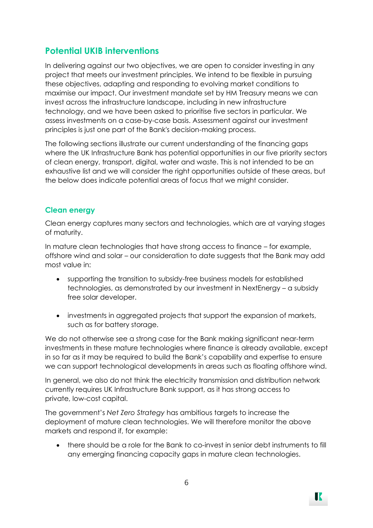## **Potential UKIB interventions**

In delivering against our two objectives, we are open to consider investing in any project that meets our investment principles. We intend to be flexible in pursuing these objectives, adapting and responding to evolving market conditions to maximise our impact. Our investment mandate set by HM Treasury means we can invest across the infrastructure landscape, including in new infrastructure technology, and we have been asked to prioritise five sectors in particular. We assess investments on a case-by-case basis. Assessment against our investment principles is just one part of the Bank's decision-making process.

The following sections illustrate our current understanding of the financing gaps where the UK Infrastructure Bank has potential opportunities in our five priority sectors of clean energy, transport, digital, water and waste. This is not intended to be an exhaustive list and we will consider the right opportunities outside of these areas, but the below does indicate potential areas of focus that we might consider.

#### **Clean energy**

Clean energy captures many sectors and technologies, which are at varying stages of maturity.

In mature clean technologies that have strong access to finance – for example, offshore wind and solar – our consideration to date suggests that the Bank may add most value in:

- supporting the transition to subsidy-free business models for established technologies, as demonstrated by our investment in NextEnergy – a subsidy free solar developer.
- investments in aggregated projects that support the expansion of markets, such as for battery storage.

We do not otherwise see a strong case for the Bank making significant near-term investments in these mature technologies where finance is already available, except in so far as it may be required to build the Bank's capability and expertise to ensure we can support technological developments in areas such as floating offshore wind.

In general, we also do not think the electricity transmission and distribution network currently requires UK Infrastructure Bank support, as it has strong access to private, low-cost capital.

The government's *Net Zero Strategy* has ambitious targets to increase the deployment of mature clean technologies. We will therefore monitor the above markets and respond if, for example:

• there should be a role for the Bank to co-invest in senior debt instruments to fill any emerging financing capacity gaps in mature clean technologies.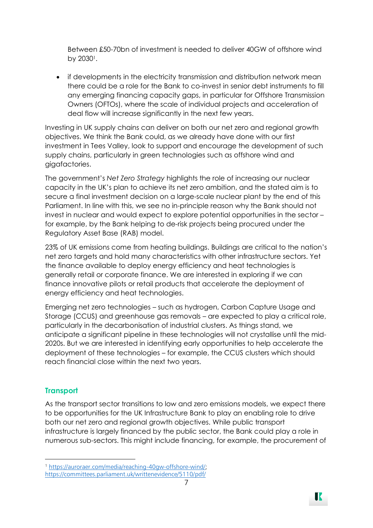Between £50-70bn of investment is needed to deliver 40GW of offshore wind by 2030<sup>1</sup>.

• if developments in the electricity transmission and distribution network mean there could be a role for the Bank to co-invest in senior debt instruments to fill any emerging financing capacity gaps, in particular for Offshore Transmission Owners (OFTOs), where the scale of individual projects and acceleration of deal flow will increase significantly in the next few years.

Investing in UK supply chains can deliver on both our net zero and regional growth objectives. We think the Bank could, as we already have done with our first investment in Tees Valley, look to support and encourage the development of such supply chains, particularly in green technologies such as offshore wind and gigafactories.

The government's *Net Zero Strategy* highlights the role of increasing our nuclear capacity in the UK's plan to achieve its net zero ambition, and the stated aim is to secure a final investment decision on a large-scale nuclear plant by the end of this Parliament. In line with this, we see no in-principle reason why the Bank should not invest in nuclear and would expect to explore potential opportunities in the sector – for example, by the Bank helping to de-risk projects being procured under the Regulatory Asset Base (RAB) model.

23% of UK emissions come from heating buildings. Buildings are critical to the nation's net zero targets and hold many characteristics with other infrastructure sectors. Yet the finance available to deploy energy efficiency and heat technologies is generally retail or corporate finance. We are interested in exploring if we can finance innovative pilots or retail products that accelerate the deployment of energy efficiency and heat technologies.

Emerging net zero technologies – such as hydrogen, Carbon Capture Usage and Storage (CCUS) and greenhouse gas removals – are expected to play a critical role, particularly in the decarbonisation of industrial clusters. As things stand, we anticipate a significant pipeline in these technologies will not crystallise until the mid-2020s. But we are interested in identifying early opportunities to help accelerate the deployment of these technologies – for example, the CCUS clusters which should reach financial close within the next two years.

### **Transport**

As the transport sector transitions to low and zero emissions models, we expect there to be opportunities for the UK Infrastructure Bank to play an enabling role to drive both our net zero and regional growth objectives. While public transport infrastructure is largely financed by the public sector, the Bank could play a role in numerous sub-sectors. This might include financing, for example, the procurement of

<sup>1</sup> [https://auroraer.com/media/reaching-40gw-offshore-wind/;](https://auroraer.com/media/reaching-40gw-offshore-wind/)

<https://committees.parliament.uk/writtenevidence/5110/pdf/>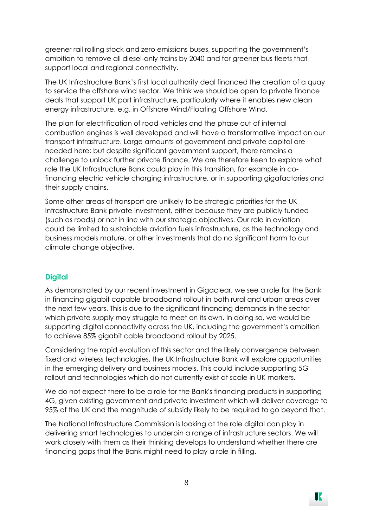greener rail rolling stock and zero emissions buses, supporting the government's ambition to remove all diesel-only trains by 2040 and for greener bus fleets that support local and regional connectivity.

The UK Infrastructure Bank's first local authority deal financed the creation of a quay to service the offshore wind sector. We think we should be open to private finance deals that support UK port infrastructure, particularly where it enables new clean energy infrastructure, e.g. in Offshore Wind/Floating Offshore Wind.

The plan for electrification of road vehicles and the phase out of internal combustion engines is well developed and will have a transformative impact on our transport infrastructure. Large amounts of government and private capital are needed here; but despite significant government support, there remains a challenge to unlock further private finance. We are therefore keen to explore what role the UK Infrastructure Bank could play in this transition, for example in cofinancing electric vehicle charging infrastructure, or in supporting gigafactories and their supply chains.

Some other areas of transport are unlikely to be strategic priorities for the UK Infrastructure Bank private investment, either because they are publicly funded (such as roads) or not in line with our strategic objectives. Our role in aviation could be limited to sustainable aviation fuels infrastructure, as the technology and business models mature, or other investments that do no significant harm to our climate change objective.

#### **Digital**

As demonstrated by our recent investment in Gigaclear, we see a role for the Bank in financing gigabit capable broadband rollout in both rural and urban areas over the next few years. This is due to the significant financing demands in the sector which private supply may struggle to meet on its own. In doing so, we would be supporting digital connectivity across the UK, including the government's ambition to achieve 85% gigabit cable broadband rollout by 2025.

Considering the rapid evolution of this sector and the likely convergence between fixed and wireless technologies, the UK Infrastructure Bank will explore opportunities in the emerging delivery and business models. This could include supporting 5G rollout and technologies which do not currently exist at scale in UK markets.

We do not expect there to be a role for the Bank's financing products in supporting 4G, given existing government and private investment which will deliver coverage to 95% of the UK and the magnitude of subsidy likely to be required to go beyond that.

The National Infrastructure Commission is looking at the role digital can play in delivering smart technologies to underpin a range of infrastructure sectors. We will work closely with them as their thinking develops to understand whether there are financing gaps that the Bank might need to play a role in filling.